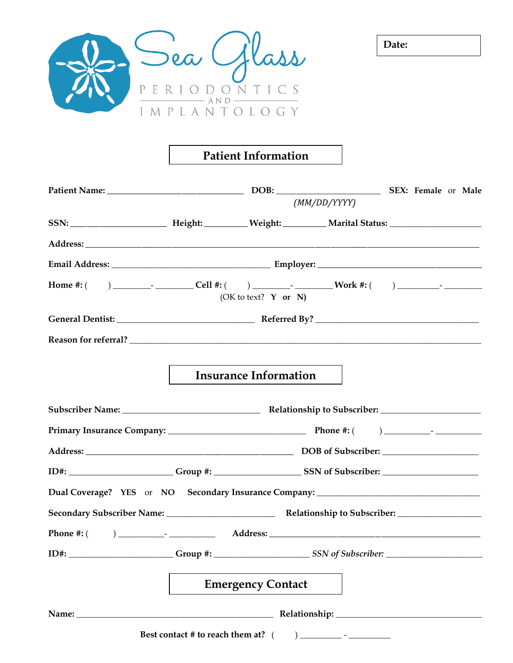

Date:

#### **Patient Information**

|                                                                                                      | (MM/DD/YYYY)                 |  |  |  |  |
|------------------------------------------------------------------------------------------------------|------------------------------|--|--|--|--|
|                                                                                                      |                              |  |  |  |  |
|                                                                                                      |                              |  |  |  |  |
|                                                                                                      |                              |  |  |  |  |
|                                                                                                      | (OK to text? $Y$ or N)       |  |  |  |  |
|                                                                                                      |                              |  |  |  |  |
|                                                                                                      |                              |  |  |  |  |
|                                                                                                      | <b>Insurance Information</b> |  |  |  |  |
|                                                                                                      |                              |  |  |  |  |
|                                                                                                      |                              |  |  |  |  |
|                                                                                                      |                              |  |  |  |  |
|                                                                                                      |                              |  |  |  |  |
| ID#: ____________________Group #: ____________________SSN of Subscriber: ___________________________ |                              |  |  |  |  |
| Dual Coverage? YES or NO Secondary Insurance Company: ___________________________                    |                              |  |  |  |  |
|                                                                                                      |                              |  |  |  |  |
|                                                                                                      |                              |  |  |  |  |
| $Group$ #: $SSN of Subscripter:$<br>$ID$ #:                                                          |                              |  |  |  |  |
|                                                                                                      | <b>Emergency Contact</b>     |  |  |  |  |
|                                                                                                      |                              |  |  |  |  |
|                                                                                                      |                              |  |  |  |  |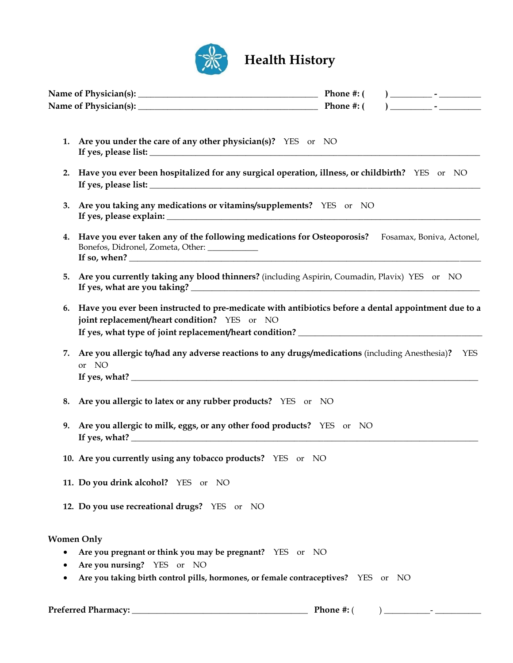

# **Health History**

|                                                                                                                                                           | Phone #: ( |            |
|-----------------------------------------------------------------------------------------------------------------------------------------------------------|------------|------------|
|                                                                                                                                                           |            |            |
| 1. Are you under the care of any other physician(s)? YES or NO                                                                                            |            |            |
| Have you ever been hospitalized for any surgical operation, illness, or childbirth? YES or NO<br>2.                                                       |            |            |
| Are you taking any medications or vitamins/supplements? YES or NO<br>3.                                                                                   |            |            |
| Have you ever taken any of the following medications for Osteoporosis? Fosamax, Boniva, Actonel,<br>4.<br>Bonefos, Didronel, Zometa, Other: ___________   |            |            |
| Are you currently taking any blood thinners? (including Aspirin, Coumadin, Plavix) YES or NO<br>5.                                                        |            |            |
| Have you ever been instructed to pre-medicate with antibiotics before a dental appointment due to a<br>6.<br>joint replacement/heart condition? YES or NO |            |            |
| Are you allergic to/had any adverse reactions to any drugs/medications (including Anesthesia)?<br>7.<br>or NO                                             |            | <b>YES</b> |
| Are you allergic to latex or any rubber products? YES or NO<br>8.                                                                                         |            |            |
| Are you allergic to milk, eggs, or any other food products? YES or NO<br>9.                                                                               |            |            |
| 10. Are you currently using any tobacco products? YES or NO                                                                                               |            |            |
| 11. Do you drink alcohol? YES or NO                                                                                                                       |            |            |
| 12. Do you use recreational drugs? YES or NO                                                                                                              |            |            |
| <b>Women Only</b>                                                                                                                                         |            |            |
| Are you pregnant or think you may be pregnant? YES or NO                                                                                                  |            |            |
| Are you nursing? YES or NO<br>٠<br>Are you taking birth control pills, hormones, or female contraceptives? YES or NO                                      |            |            |

**Preferred Pharmacy:** \_\_\_\_\_\_\_\_\_\_\_\_\_\_\_\_\_\_\_\_\_\_\_\_\_\_\_\_\_\_\_\_\_\_\_\_\_\_\_\_\_\_ **Phone #:** ( ) \_\_\_\_\_\_\_\_\_\_\_- \_\_\_\_\_\_\_\_\_\_\_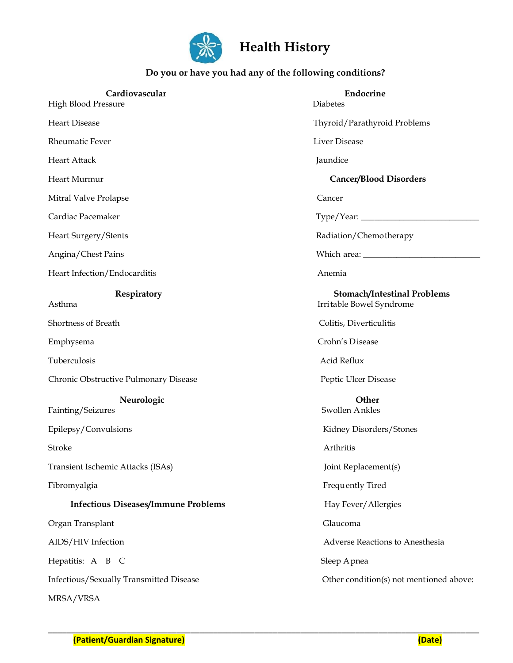

## **Health History**

#### **Do you or have you had any of the following conditions?**

| Cardiovascular<br><b>High Blood Pressure</b> | Endocrine<br>Diabetes                                          |
|----------------------------------------------|----------------------------------------------------------------|
| <b>Heart Disease</b>                         | Thyroid/Parathyroid Problems                                   |
| Rheumatic Fever                              | <b>Liver Disease</b>                                           |
| <b>Heart Attack</b>                          | Jaundice                                                       |
| Heart Murmur                                 | <b>Cancer/Blood Disorders</b>                                  |
| Mitral Valve Prolapse                        | Cancer                                                         |
| Cardiac Pacemaker                            |                                                                |
| Heart Surgery/Stents                         | Radiation/Chemotherapy                                         |
| Angina/Chest Pains                           |                                                                |
| Heart Infection/Endocarditis                 | Anemia                                                         |
| Respiratory<br>Asthma                        | <b>Stomach/Intestinal Problems</b><br>Irritable Bowel Syndrome |
| Shortness of Breath                          | Colitis, Diverticulitis                                        |
| Emphysema                                    | Crohn's Disease                                                |
| Tuberculosis                                 | Acid Reflux                                                    |
| Chronic Obstructive Pulmonary Disease        | Peptic Ulcer Disease                                           |
| Neurologic<br>Fainting/Seizures              | Other<br>Swollen Ankles                                        |
| Epilepsy/Convulsions                         | Kidney Disorders/Stones                                        |
| Stroke                                       | Arthritis                                                      |
| Transient Ischemic Attacks (ISAs)            | Joint Replacement(s)                                           |
| Fibromyalgia                                 | Frequently Tired                                               |
| <b>Infectious Diseases/Immune Problems</b>   | Hay Fever/Allergies                                            |
| Organ Transplant                             | Glaucoma                                                       |
| AIDS/HIV Infection                           | Adverse Reactions to Anesthesia                                |
| Hepatitis: A B C                             | Sleep Apnea                                                    |
| Infectious/Sexually Transmitted Disease      | Other condition(s) not mentioned above:                        |
| MRSA/VRSA                                    |                                                                |

\_\_\_\_\_\_\_\_\_\_\_\_\_\_\_\_\_\_\_\_\_\_\_\_\_\_\_\_\_\_\_\_\_\_\_\_\_\_\_\_\_\_\_\_\_\_\_\_\_\_\_\_\_\_\_\_\_\_\_\_\_\_\_\_\_\_\_\_\_\_\_\_\_\_\_\_\_\_\_\_\_\_\_\_\_\_\_\_\_\_\_\_\_\_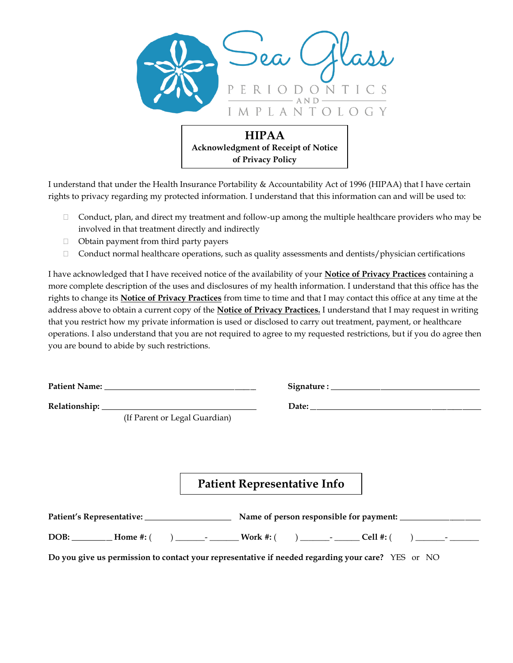

I understand that under the Health Insurance Portability & Accountability Act of 1996 (HIPAA) that I have certain rights to privacy regarding my protected information. I understand that this information can and will be used to:

- $\Box$  Conduct, plan, and direct my treatment and follow-up among the multiple healthcare providers who may be involved in that treatment directly and indirectly
- Obtain payment from third party payers
- Conduct normal healthcare operations, such as quality assessments and dentists/physician certifications

I have acknowledged that I have received notice of the availability of your **Notice of Privacy Practices** containing a more complete description of the uses and disclosures of my health information. I understand that this office has the rights to change its **Notice of Privacy Practices** from time to time and that I may contact this office at any time at the address above to obtain a current copy of the **Notice of Privacy Practices.** I understand that I may request in writing that you restrict how my private information is used or disclosed to carry out treatment, payment, or healthcare operations. I also understand that you are not required to agree to my requested restrictions, but if you do agree then you are bound to abide by such restrictions.

| Patient Name: Name:           |                                    |
|-------------------------------|------------------------------------|
|                               |                                    |
| (If Parent or Legal Guardian) |                                    |
|                               |                                    |
|                               |                                    |
|                               |                                    |
|                               | <b>Patient Representative Info</b> |
|                               |                                    |
|                               |                                    |
|                               |                                    |

**Do you give us permission to contact your representative if needed regarding your care?** YES or NO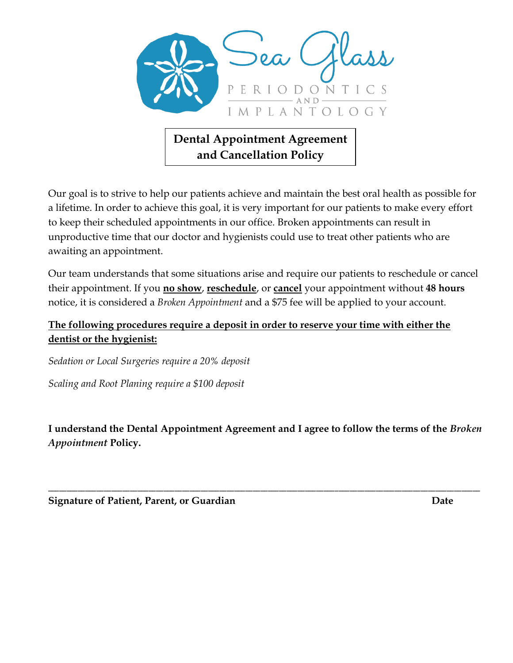

#### **Dental Appointment Agreement and Cancellation Policy**

Our goal is to strive to help our patients achieve and maintain the best oral health as possible for a lifetime. In order to achieve this goal, it is very important for our patients to make every effort to keep their scheduled appointments in our office. Broken appointments can result in unproductive time that our doctor and hygienists could use to treat other patients who are awaiting an appointment.

Our team understands that some situations arise and require our patients to reschedule or cancel their appointment. If you **no show**, **reschedule**, or **cancel** your appointment without **48 hours** notice, it is considered a *Broken Appointment* and a \$75 fee will be applied to your account.

#### **The following procedures require a deposit in order to reserve your time with either the dentist or the hygienist:**

*Sedation or Local Surgeries require a 20% deposit*

*Scaling and Root Planing require a \$100 deposit* 

**I understand the Dental Appointment Agreement and I agree to follow the terms of the** *Broken Appointment* **Policy.**

\_\_\_\_\_\_\_\_\_\_\_\_\_\_\_\_\_\_\_\_\_\_\_\_\_\_\_\_\_\_\_\_\_\_\_\_\_\_\_\_\_\_\_\_\_\_\_\_\_\_\_\_\_\_\_\_\_\_\_\_\_\_\_\_\_\_\_\_\_\_\_\_\_\_\_\_\_\_\_\_\_\_\_\_\_\_\_\_\_\_\_\_\_\_\_\_\_\_\_\_\_\_\_\_\_\_\_\_\_\_\_\_\_\_\_\_

**Signature of Patient, Parent, or Guardian discussed by Case Control Cate**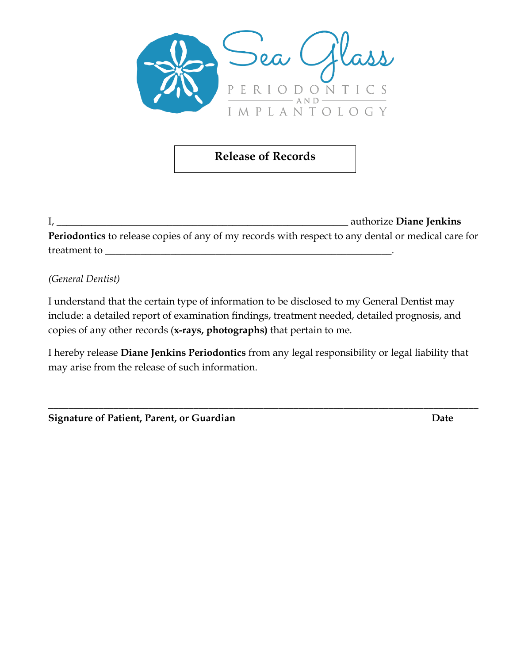

#### **Release of Records**

I, \_\_\_\_\_\_\_\_\_\_\_\_\_\_\_\_\_\_\_\_\_\_\_\_\_\_\_\_\_\_\_\_\_\_\_\_\_\_\_\_\_\_\_\_\_\_\_\_\_\_\_\_\_\_\_\_\_\_ authorize **Diane Jenkins Periodontics** to release copies of any of my records with respect to any dental or medical care for treatment to \_\_\_\_\_\_\_\_\_\_\_\_\_\_\_\_\_\_\_\_\_\_\_\_\_\_\_\_\_\_\_\_\_\_\_\_\_\_\_\_\_\_\_\_\_\_\_\_\_\_\_\_\_\_\_\_\_.

*(General Dentist)*

I understand that the certain type of information to be disclosed to my General Dentist may include: a detailed report of examination findings, treatment needed, detailed prognosis, and copies of any other records (**x-rays, photographs)** that pertain to me.

I hereby release **Diane Jenkins Periodontics** from any legal responsibility or legal liability that may arise from the release of such information.

\_\_\_\_\_\_\_\_\_\_\_\_\_\_\_\_\_\_\_\_\_\_\_\_\_\_\_\_\_\_\_\_\_\_\_\_\_\_\_\_\_\_\_\_\_\_\_\_\_\_\_\_\_\_\_\_\_\_\_\_\_\_\_\_\_\_\_\_\_\_\_\_\_\_\_\_\_\_\_\_\_\_\_\_\_\_

| Date |
|------|
|      |